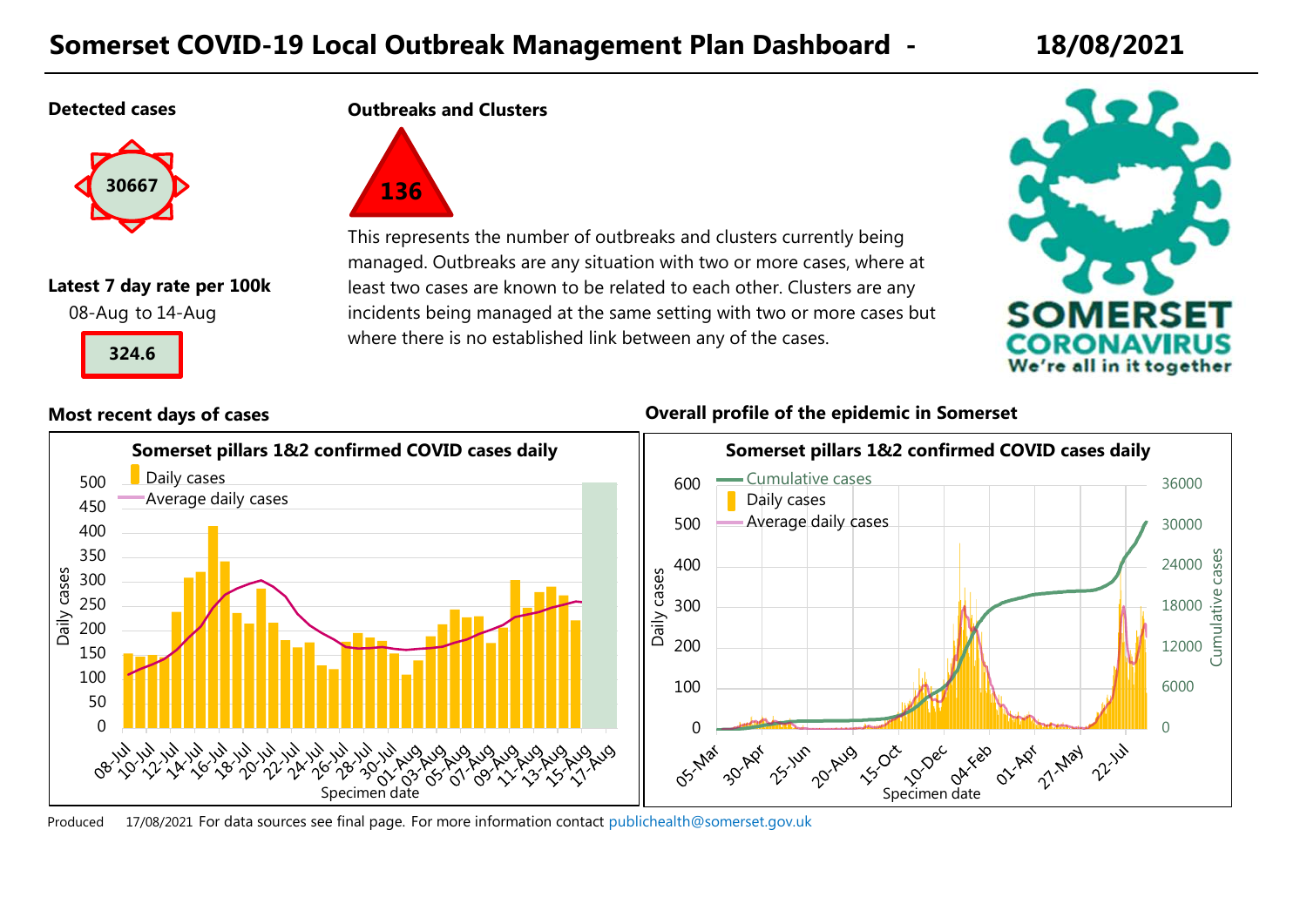## **Somerset COVID-19 Local Outbreak Management Plan Dashboard - 18/08/2021**

### **Detected cases**



## **Latest 7 day rate per 100k**

08-Aug to 14-Aug



**Outbreaks and Clusters**



This represents the number of outbreaks and clusters currently being managed. Outbreaks are any situation with two or more cases, where at least two cases are known to be related to each other. Clusters are any incidents being managed at the same setting with two or more cases but where there is no established link between any of the cases.



### **Most recent days of cases Overall profile of the epidemic in Somerset**



Produced 17/08/2021 For data sources see final page. [For more information contact](mailto:publichealth@somerset.gov.uk) publichealth@somerset.gov.uk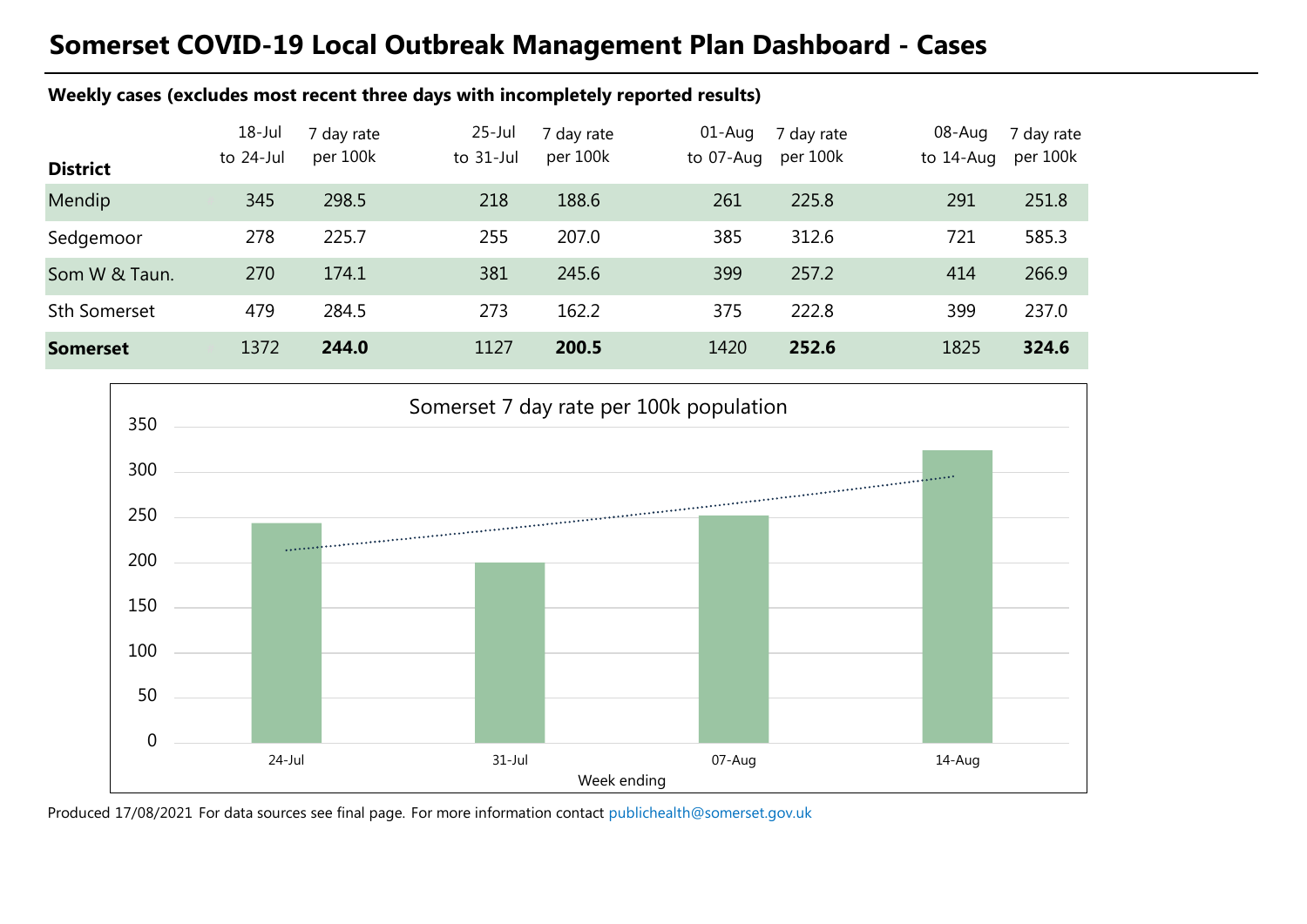# **Somerset COVID-19 Local Outbreak Management Plan Dashboard - Cases**

### **Weekly cases (excludes most recent three days with incompletely reported results)**

| <b>District</b>     | $18 -$ Jul<br>to 24-Jul | 7 day rate<br>per 100k | $25$ -Jul<br>to $31$ -Jul | 7 day rate<br>per 100k | $01$ -Aug<br>to 07-Aug | 7 day rate<br>per 100k | 08-Aug<br>to 14-Aug | 7 day rate<br>per 100k |
|---------------------|-------------------------|------------------------|---------------------------|------------------------|------------------------|------------------------|---------------------|------------------------|
| Mendip              | 345                     | 298.5                  | 218                       | 188.6                  | 261                    | 225.8                  | 291                 | 251.8                  |
| Sedgemoor           | 278                     | 225.7                  | 255                       | 207.0                  | 385                    | 312.6                  | 721                 | 585.3                  |
| Som W & Taun.       | 270                     | 174.1                  | 381                       | 245.6                  | 399                    | 257.2                  | 414                 | 266.9                  |
| <b>Sth Somerset</b> | 479                     | 284.5                  | 273                       | 162.2                  | 375                    | 222.8                  | 399                 | 237.0                  |
| <b>Somerset</b>     | 1372                    | 244.0                  | 1127                      | 200.5                  | 1420                   | 252.6                  | 1825                | 324.6                  |



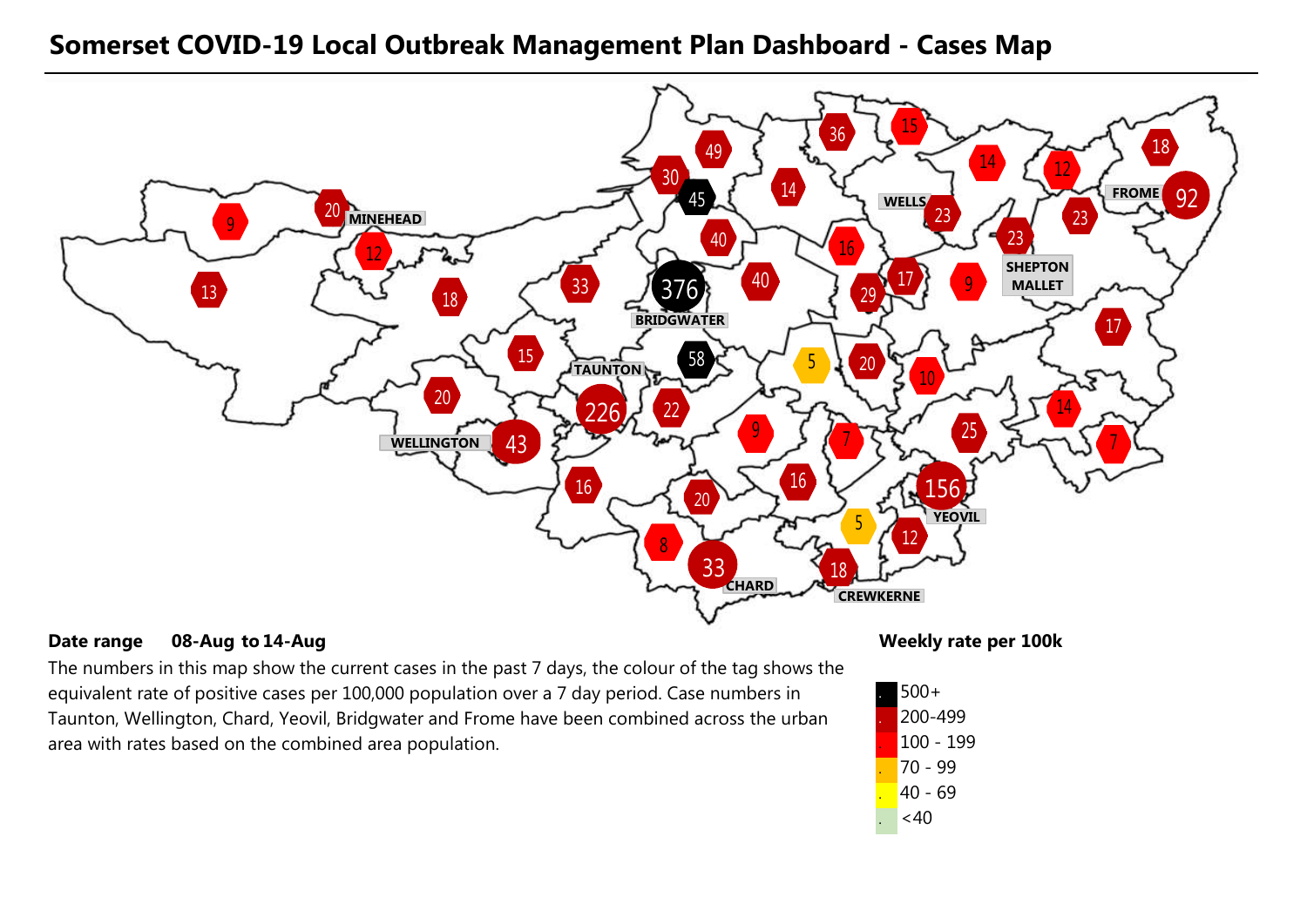### **Somerset COVID-19 Local Outbreak Management Plan Dashboard - Cases Map**



### **Date range** 08-Aug to 14-Aug **the act of the contract of the contract of the contract of the Weekly rate per 100k 08-Aug 14-Aug**

The numbers in this map show the current cases in the past 7 days, the colour of the tag shows the equivalent rate of positive cases per 100,000 population over a 7 day period. Case numbers in Taunton, Wellington, Chard, Yeovil, Bridgwater and Frome have been combined across the urban area with rates based on the combined area population.

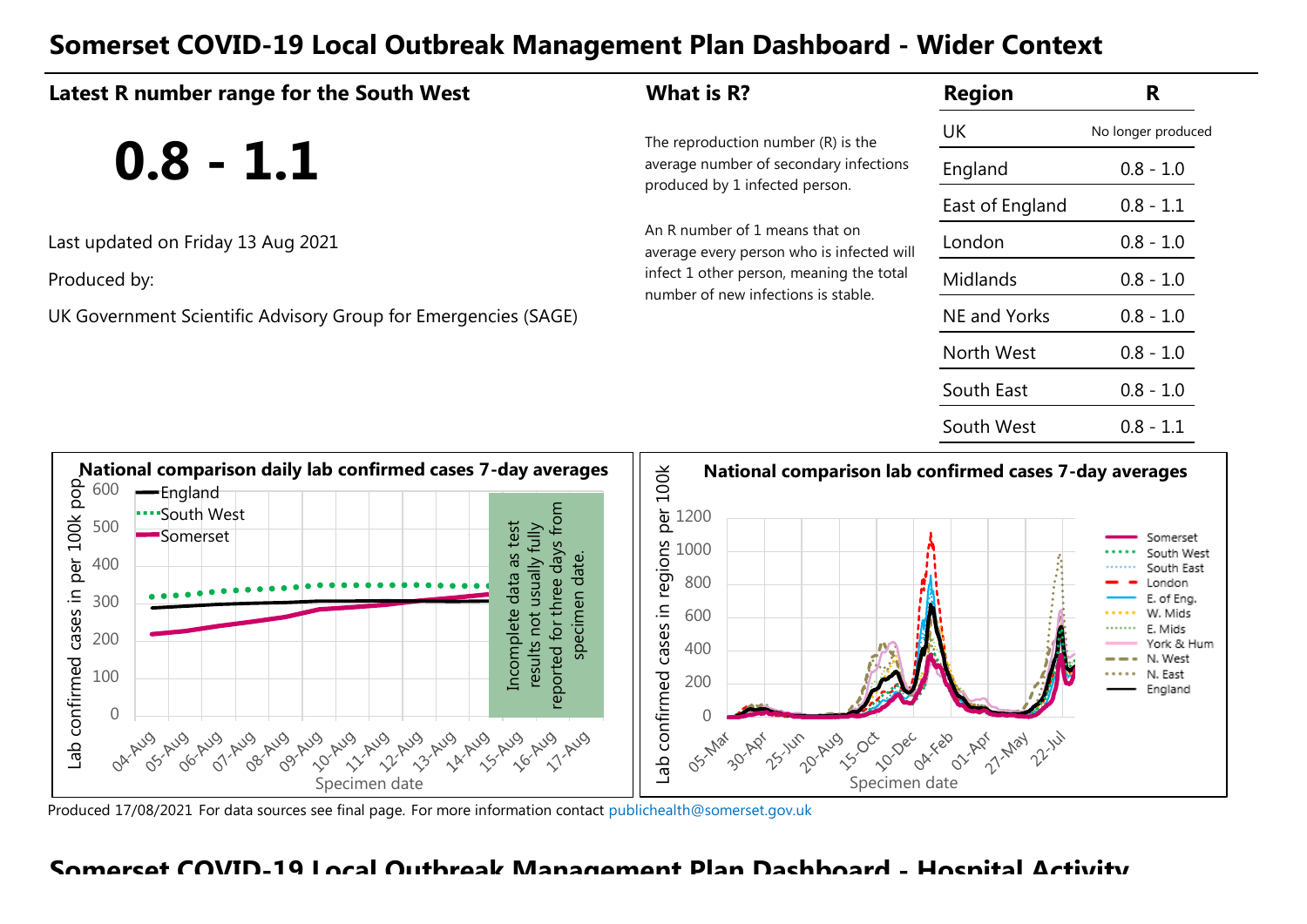## **Somerset COVID-19 Local Outbreak Management Plan Dashboard - Wider Context**

| Latest R number range for the South West                                                                                                                                                                                                                                                                                                                                                                                                                                           | What is R?                                                                                                                                                                                                                                          | <b>Region</b>                         | R                                                                                                                              |
|------------------------------------------------------------------------------------------------------------------------------------------------------------------------------------------------------------------------------------------------------------------------------------------------------------------------------------------------------------------------------------------------------------------------------------------------------------------------------------|-----------------------------------------------------------------------------------------------------------------------------------------------------------------------------------------------------------------------------------------------------|---------------------------------------|--------------------------------------------------------------------------------------------------------------------------------|
|                                                                                                                                                                                                                                                                                                                                                                                                                                                                                    | The reproduction number (R) is the                                                                                                                                                                                                                  | UK                                    | No longer produced                                                                                                             |
| $0.8 - 1.1$                                                                                                                                                                                                                                                                                                                                                                                                                                                                        | average number of secondary infections                                                                                                                                                                                                              | England                               | $0.8 - 1.0$                                                                                                                    |
|                                                                                                                                                                                                                                                                                                                                                                                                                                                                                    | produced by 1 infected person.                                                                                                                                                                                                                      | East of England                       | $0.8 - 1.1$                                                                                                                    |
| Last updated on Friday 13 Aug 2021                                                                                                                                                                                                                                                                                                                                                                                                                                                 | An R number of 1 means that on<br>average every person who is infected will                                                                                                                                                                         | London                                | $0.8 - 1.0$                                                                                                                    |
| Produced by:                                                                                                                                                                                                                                                                                                                                                                                                                                                                       | infect 1 other person, meaning the total<br>number of new infections is stable.                                                                                                                                                                     | Midlands                              | $0.8 - 1.0$                                                                                                                    |
| UK Government Scientific Advisory Group for Emergencies (SAGE)                                                                                                                                                                                                                                                                                                                                                                                                                     |                                                                                                                                                                                                                                                     | <b>NE and Yorks</b>                   | $0.8 - 1.0$                                                                                                                    |
|                                                                                                                                                                                                                                                                                                                                                                                                                                                                                    |                                                                                                                                                                                                                                                     | North West                            | $0.8 - 1.0$                                                                                                                    |
|                                                                                                                                                                                                                                                                                                                                                                                                                                                                                    |                                                                                                                                                                                                                                                     | South East                            | $0.8 - 1.0$                                                                                                                    |
|                                                                                                                                                                                                                                                                                                                                                                                                                                                                                    |                                                                                                                                                                                                                                                     | South West                            | $0.8 - 1.1$                                                                                                                    |
| National comparison daily lab confirmed cases 7-day averages<br>per 100k pop<br>600<br>-England<br>reported for three days from<br>South West<br>500<br>as test<br>results not usually fully<br>Somerset<br>specimen date.<br>400<br>data<br>cases in<br>300<br>Incomplete<br>200<br>Lab confirmed<br>100<br>$\Omega$<br>06-Aug<br>07-Aug<br>OS-Aug<br>08-Aug<br>13-Aug<br>09-Aug<br>11-Aug<br>12-Aug<br>14 Aug<br>15-Aug<br>16-Aug<br>10 Aug<br>OA AUS<br>11-Aug<br>Specimen date | National comparison lab confirmed cases 7-day averages<br>per 100k<br>1200<br>cases in regions<br>1000<br>800<br>600<br>400<br>Lab confirmed<br>200<br>$\Omega$<br>25-14-<br>20-Aug<br><b>ISIDEE</b><br>30-ADY<br>10-Dec<br>OS-Mar<br>Specimen date | OAT-Feb<br>O1-Apr<br>21-2084<br>22.14 | Somerset<br>South West<br>South East<br>.ondon<br>of Eng.<br>W. Mids<br>E. Mids<br>York & Hum<br>N. West<br>N. East<br>England |

Produced 17/08/2021 For data sources see final page. [For more information contact](mailto:publichealth@somerset.gov.uk) publichealth@somerset.gov.uk

Specimen date

### **Somerset COVID-19 Local Outbreak Management Plan Dashboard - Hospital Activity**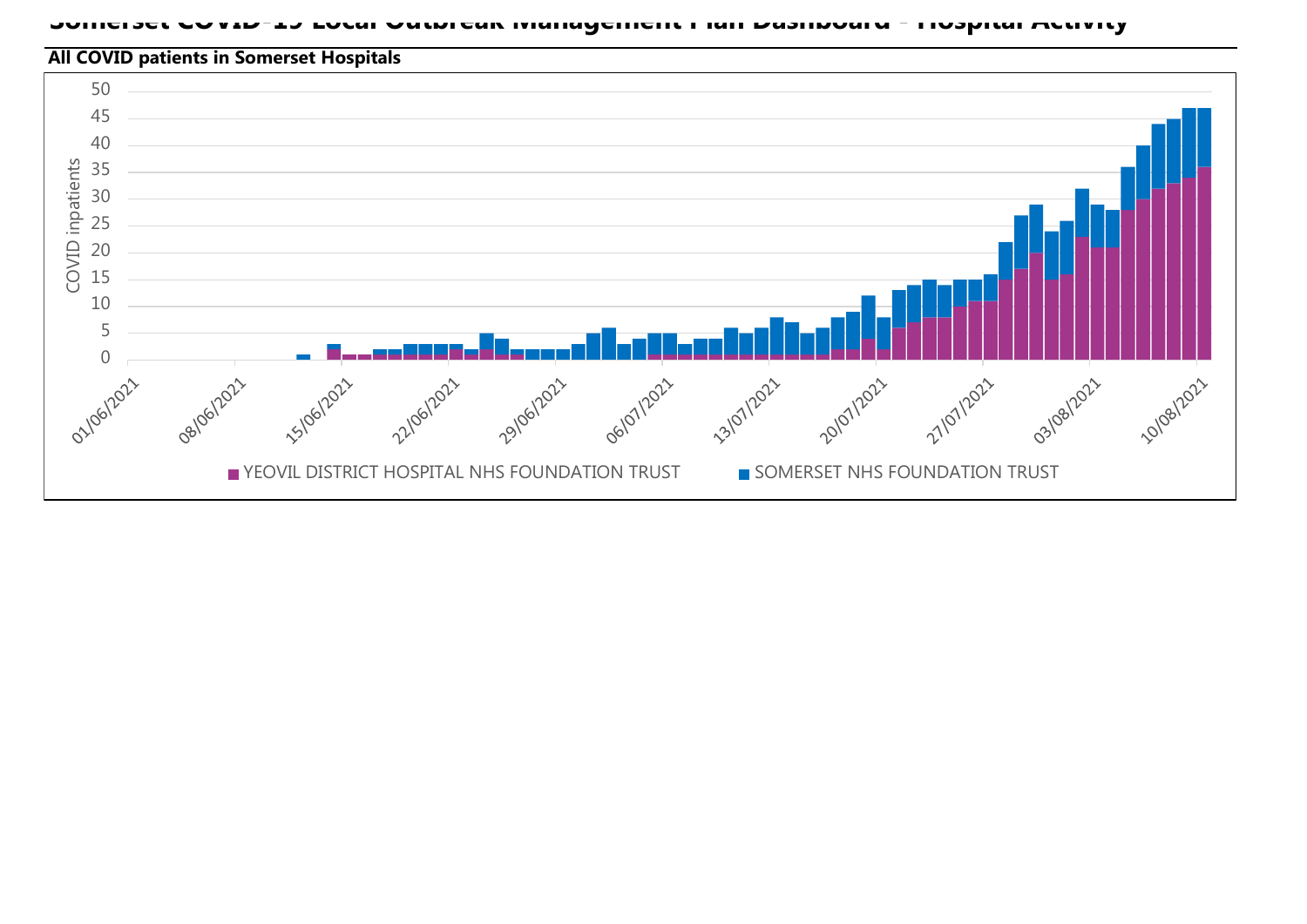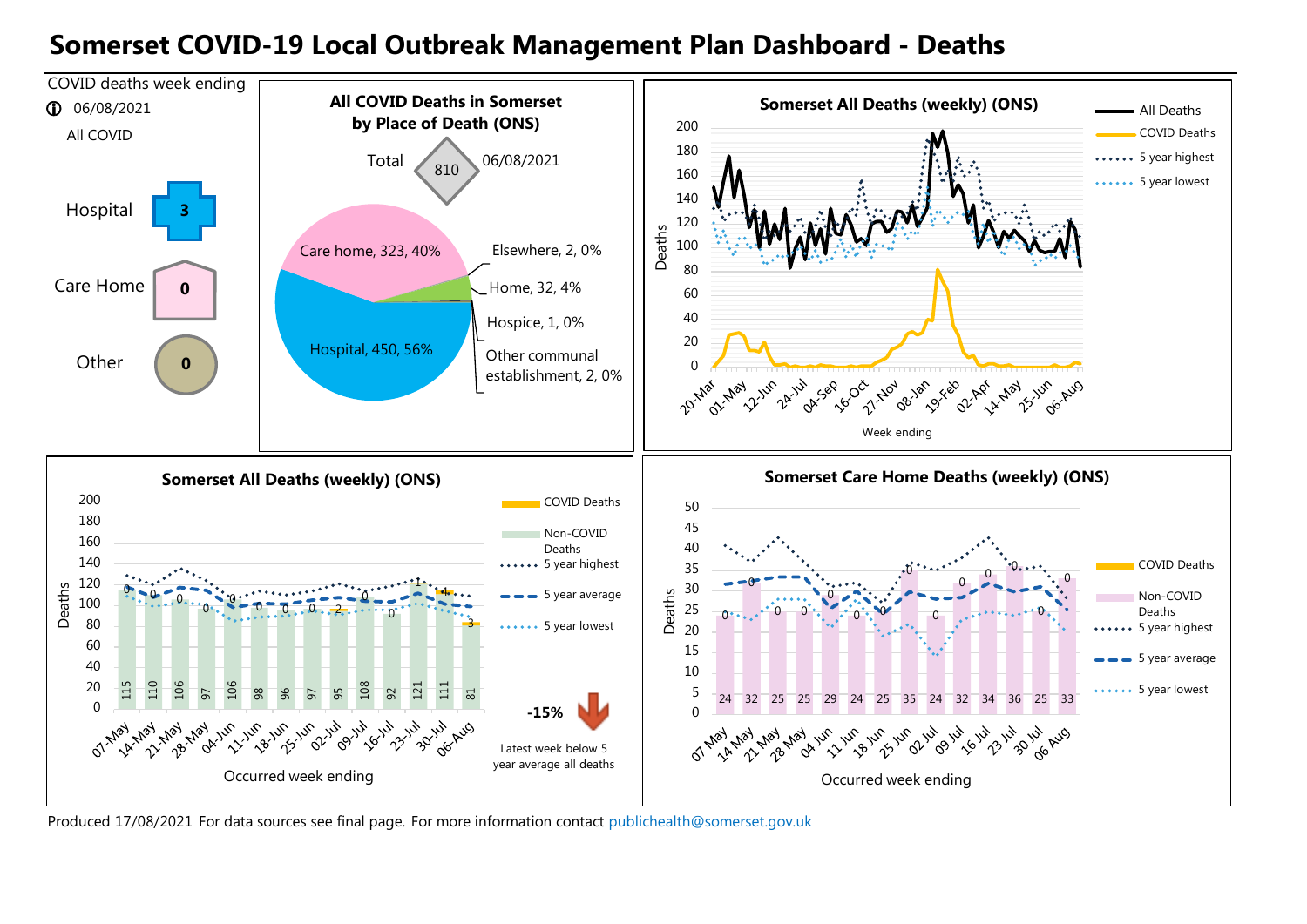### **Somerset COVID-19 Local Outbreak Management Plan Dashboard - Deaths**



Produced 17/08/2021 For data sources see final page. [For more information contact](mailto:publichealth@somerset.gov.uk) publichealth@somerset.gov.uk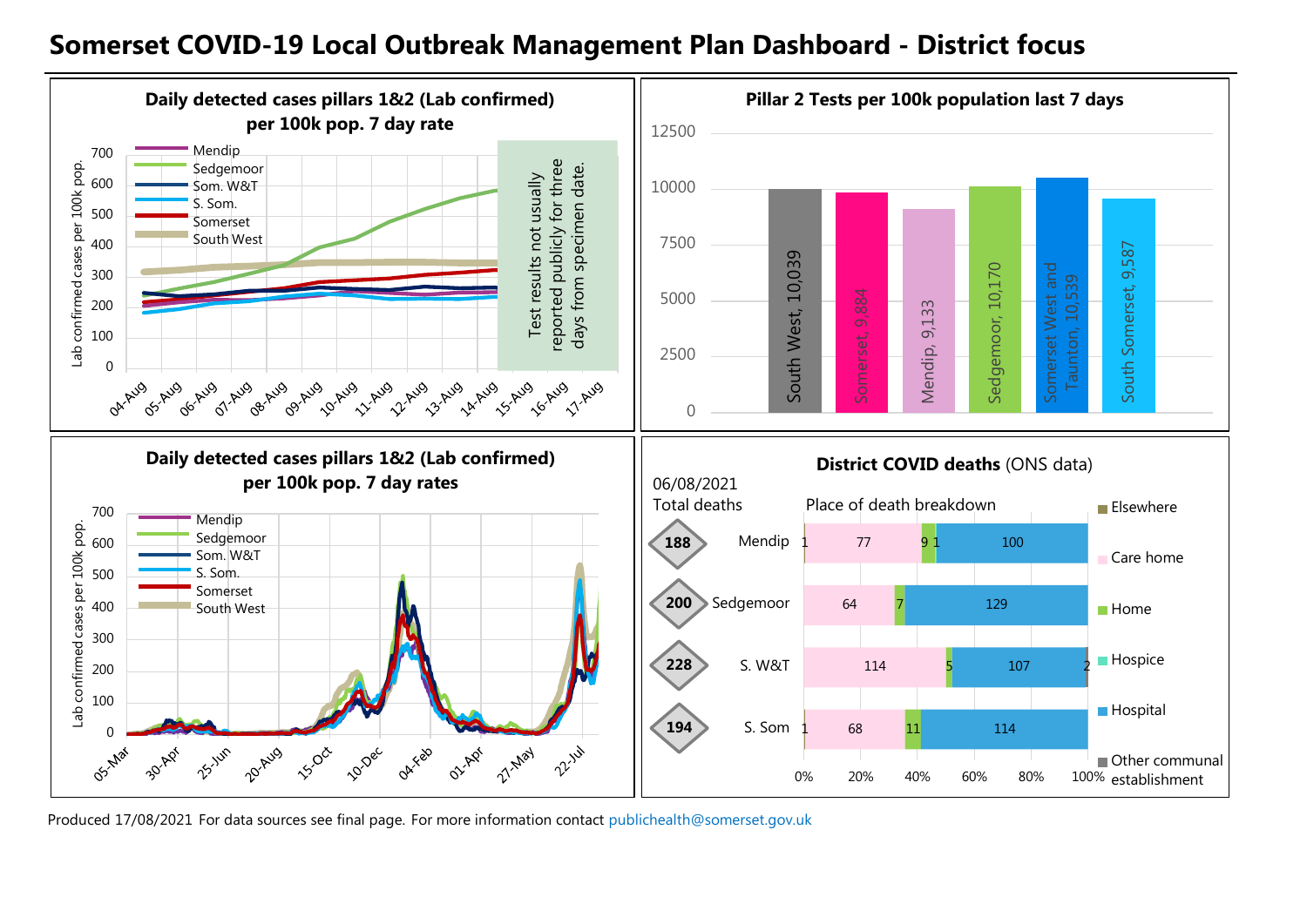### **Somerset COVID-19 Local Outbreak Management Plan Dashboard - District focus**



Produced 17/08/2021 For data sources see final page. [For more information contact](mailto:publichealth@somerset.gov.uk) publichealth@somerset.gov.uk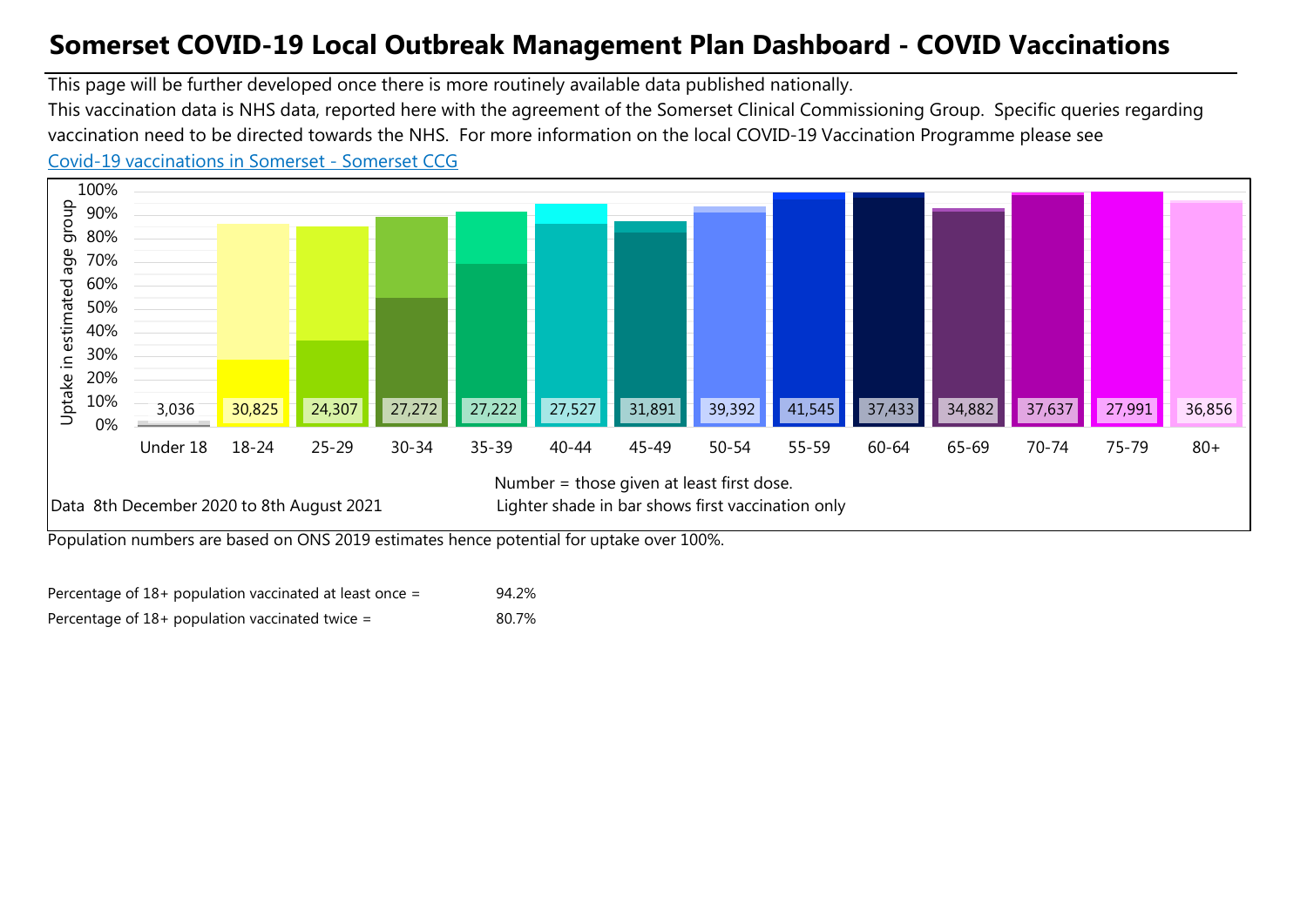## **Somerset COVID-19 Local Outbreak Management Plan Dashboard - COVID Vaccinations**

This page will be further developed once there is more routinely available data published nationally.

This vaccination data is NHS data, reported here with the agreement of the Somerset Clinical Commissioning Group. Specific queries regarding vaccination need to be directed towards the NHS. For more information on the local COVID-19 Vaccination Programme please see

### [Co](https://www.somersetccg.nhs.uk/health/local-services/health-services-during-coronavirus/covid-19-vaccinations-in-somerset/)vid-19 vaccinations in Somerset - Somerset CCG



Population numbers are based on ONS 2019 estimates hence potential for uptake over 100%.

| Percentage of $18+$ population vaccinated at least once = | 94.2% |
|-----------------------------------------------------------|-------|
| Percentage of $18+$ population vaccinated twice =         | 80.7% |